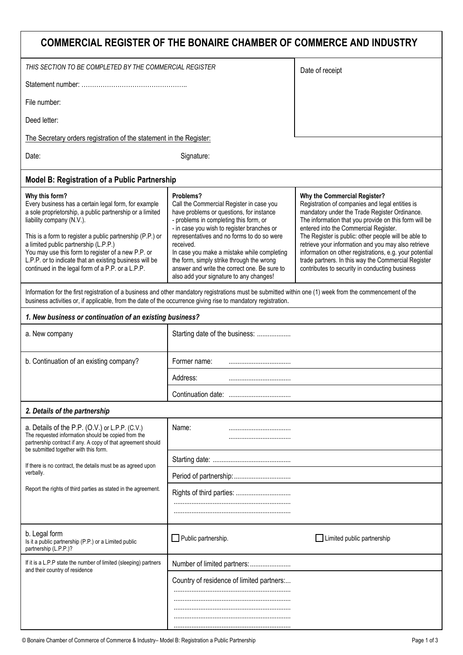| COMMERCIAL REGISTER OF THE BONAIRE CHAMBER OF COMMERCE AND INDUSTRY                                                                                                                                                                                                                                                                                                                                                                         |                                                                                                                                                                                                                                                                                                                                                                                                                                             |                                                                                                                                                                                                                                                                                                                                                                                                                                                                                                                       |  |  |
|---------------------------------------------------------------------------------------------------------------------------------------------------------------------------------------------------------------------------------------------------------------------------------------------------------------------------------------------------------------------------------------------------------------------------------------------|---------------------------------------------------------------------------------------------------------------------------------------------------------------------------------------------------------------------------------------------------------------------------------------------------------------------------------------------------------------------------------------------------------------------------------------------|-----------------------------------------------------------------------------------------------------------------------------------------------------------------------------------------------------------------------------------------------------------------------------------------------------------------------------------------------------------------------------------------------------------------------------------------------------------------------------------------------------------------------|--|--|
| THIS SECTION TO BE COMPLETED BY THE COMMERCIAL REGISTER                                                                                                                                                                                                                                                                                                                                                                                     |                                                                                                                                                                                                                                                                                                                                                                                                                                             | Date of receipt                                                                                                                                                                                                                                                                                                                                                                                                                                                                                                       |  |  |
|                                                                                                                                                                                                                                                                                                                                                                                                                                             |                                                                                                                                                                                                                                                                                                                                                                                                                                             |                                                                                                                                                                                                                                                                                                                                                                                                                                                                                                                       |  |  |
| File number:                                                                                                                                                                                                                                                                                                                                                                                                                                |                                                                                                                                                                                                                                                                                                                                                                                                                                             |                                                                                                                                                                                                                                                                                                                                                                                                                                                                                                                       |  |  |
| Deed letter:                                                                                                                                                                                                                                                                                                                                                                                                                                |                                                                                                                                                                                                                                                                                                                                                                                                                                             |                                                                                                                                                                                                                                                                                                                                                                                                                                                                                                                       |  |  |
| The Secretary orders registration of the statement in the Register:                                                                                                                                                                                                                                                                                                                                                                         |                                                                                                                                                                                                                                                                                                                                                                                                                                             |                                                                                                                                                                                                                                                                                                                                                                                                                                                                                                                       |  |  |
| Date:                                                                                                                                                                                                                                                                                                                                                                                                                                       | Signature:                                                                                                                                                                                                                                                                                                                                                                                                                                  |                                                                                                                                                                                                                                                                                                                                                                                                                                                                                                                       |  |  |
| <b>Model B: Registration of a Public Partnership</b>                                                                                                                                                                                                                                                                                                                                                                                        |                                                                                                                                                                                                                                                                                                                                                                                                                                             |                                                                                                                                                                                                                                                                                                                                                                                                                                                                                                                       |  |  |
| Why this form?<br>Every business has a certain legal form, for example<br>a sole proprietorship, a public partnership or a limited<br>liability company (N.V.).<br>This is a form to register a public partnership (P.P.) or<br>a limited public partnership (L.P.P.)<br>You may use this form to register of a new P.P. or<br>L.P.P. or to indicate that an existing business will be<br>continued in the legal form of a P.P. or a L.P.P. | Problems?<br>Call the Commercial Register in case you<br>have problems or questions, for instance<br>- problems in completing this form, or<br>- in case you wish to register branches or<br>representatives and no forms to do so were<br>received.<br>In case you make a mistake while completing<br>the form, simply strike through the wrong<br>answer and write the correct one. Be sure to<br>also add your signature to any changes! | Why the Commercial Register?<br>Registration of companies and legal entities is<br>mandatory under the Trade Register Ordinance.<br>The information that you provide on this form will be<br>entered into the Commercial Register.<br>The Register is public: other people will be able to<br>retrieve your information and you may also retrieve<br>information on other registrations, e.g. your potential<br>trade partners. In this way the Commercial Register<br>contributes to security in conducting business |  |  |
| Information for the first registration of a business and other mandatory registrations must be submitted within one (1) week from the commencement of the<br>business activities or, if applicable, from the date of the occurrence giving rise to mandatory registration.                                                                                                                                                                  |                                                                                                                                                                                                                                                                                                                                                                                                                                             |                                                                                                                                                                                                                                                                                                                                                                                                                                                                                                                       |  |  |
| 1. New business or continuation of an existing business?                                                                                                                                                                                                                                                                                                                                                                                    |                                                                                                                                                                                                                                                                                                                                                                                                                                             |                                                                                                                                                                                                                                                                                                                                                                                                                                                                                                                       |  |  |
| a. New company                                                                                                                                                                                                                                                                                                                                                                                                                              | Starting date of the business:                                                                                                                                                                                                                                                                                                                                                                                                              |                                                                                                                                                                                                                                                                                                                                                                                                                                                                                                                       |  |  |
| b. Continuation of an existing company?                                                                                                                                                                                                                                                                                                                                                                                                     | Former name:<br>                                                                                                                                                                                                                                                                                                                                                                                                                            |                                                                                                                                                                                                                                                                                                                                                                                                                                                                                                                       |  |  |
|                                                                                                                                                                                                                                                                                                                                                                                                                                             | Address:                                                                                                                                                                                                                                                                                                                                                                                                                                    |                                                                                                                                                                                                                                                                                                                                                                                                                                                                                                                       |  |  |
|                                                                                                                                                                                                                                                                                                                                                                                                                                             |                                                                                                                                                                                                                                                                                                                                                                                                                                             |                                                                                                                                                                                                                                                                                                                                                                                                                                                                                                                       |  |  |
| 2. Details of the partnership                                                                                                                                                                                                                                                                                                                                                                                                               |                                                                                                                                                                                                                                                                                                                                                                                                                                             |                                                                                                                                                                                                                                                                                                                                                                                                                                                                                                                       |  |  |
| a. Details of the P.P. (O.V.) or L.P.P. (C.V.)<br>The requested information should be copied from the<br>partnership contract if any. A copy of that agreement should<br>be submitted together with this form.                                                                                                                                                                                                                              | Name:                                                                                                                                                                                                                                                                                                                                                                                                                                       |                                                                                                                                                                                                                                                                                                                                                                                                                                                                                                                       |  |  |
| If there is no contract, the details must be as agreed upon                                                                                                                                                                                                                                                                                                                                                                                 |                                                                                                                                                                                                                                                                                                                                                                                                                                             |                                                                                                                                                                                                                                                                                                                                                                                                                                                                                                                       |  |  |
| verbally.                                                                                                                                                                                                                                                                                                                                                                                                                                   |                                                                                                                                                                                                                                                                                                                                                                                                                                             |                                                                                                                                                                                                                                                                                                                                                                                                                                                                                                                       |  |  |
| Report the rights of third parties as stated in the agreement.                                                                                                                                                                                                                                                                                                                                                                              | Rights of third parties:                                                                                                                                                                                                                                                                                                                                                                                                                    |                                                                                                                                                                                                                                                                                                                                                                                                                                                                                                                       |  |  |
| b. Legal form<br>Is it a public partnership (P.P.) or a Limited public<br>partnership (L.P.P.)?                                                                                                                                                                                                                                                                                                                                             | Public partnership.                                                                                                                                                                                                                                                                                                                                                                                                                         | Limited public partnership                                                                                                                                                                                                                                                                                                                                                                                                                                                                                            |  |  |
| If it is a L.P.P state the number of limited (sleeping) partners<br>and their country of residence                                                                                                                                                                                                                                                                                                                                          |                                                                                                                                                                                                                                                                                                                                                                                                                                             |                                                                                                                                                                                                                                                                                                                                                                                                                                                                                                                       |  |  |
|                                                                                                                                                                                                                                                                                                                                                                                                                                             | Country of residence of limited partners:                                                                                                                                                                                                                                                                                                                                                                                                   |                                                                                                                                                                                                                                                                                                                                                                                                                                                                                                                       |  |  |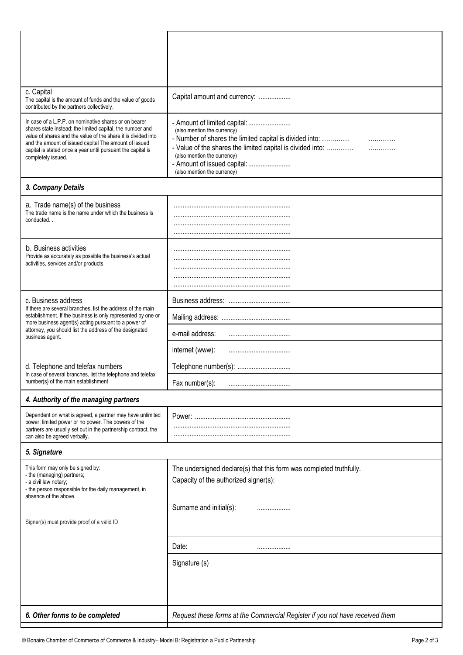| c. Capital                                                                                                                                                                                                                                                                                                                        |                                                                                                                                                                                                                                                                                             |  |
|-----------------------------------------------------------------------------------------------------------------------------------------------------------------------------------------------------------------------------------------------------------------------------------------------------------------------------------|---------------------------------------------------------------------------------------------------------------------------------------------------------------------------------------------------------------------------------------------------------------------------------------------|--|
| The capital is the amount of funds and the value of goods<br>contributed by the partners collectively.                                                                                                                                                                                                                            | Capital amount and currency:                                                                                                                                                                                                                                                                |  |
| In case of a L.P.P. on nominative shares or on bearer<br>shares state instead: the limited capital, the number and<br>value of shares and the value of the share it is divided into<br>and the amount of issued capital The amount of issued<br>capital is stated once a year until pursuant the capital is<br>completely issued. | - Amount of limited capital:<br>(also mention the currency)<br>- Number of shares the limited capital is divided into:<br>.<br>- Value of the shares the limited capital is divided into:<br>.<br>(also mention the currency)<br>- Amount of issued capital:<br>(also mention the currency) |  |
| 3. Company Details                                                                                                                                                                                                                                                                                                                |                                                                                                                                                                                                                                                                                             |  |
| a. Trade name(s) of the business<br>The trade name is the name under which the business is<br>conducted                                                                                                                                                                                                                           |                                                                                                                                                                                                                                                                                             |  |
|                                                                                                                                                                                                                                                                                                                                   |                                                                                                                                                                                                                                                                                             |  |
| b. Business activities<br>Provide as accurately as possible the business's actual<br>activities, services and/or products.                                                                                                                                                                                                        |                                                                                                                                                                                                                                                                                             |  |
|                                                                                                                                                                                                                                                                                                                                   |                                                                                                                                                                                                                                                                                             |  |
|                                                                                                                                                                                                                                                                                                                                   |                                                                                                                                                                                                                                                                                             |  |
| c. Business address<br>If there are several branches, list the address of the main<br>establishment. If the business is only represented by one or<br>more business agent(s) acting pursuant to a power of<br>attorney, you should list the address of the designated<br>business agent.                                          |                                                                                                                                                                                                                                                                                             |  |
|                                                                                                                                                                                                                                                                                                                                   |                                                                                                                                                                                                                                                                                             |  |
|                                                                                                                                                                                                                                                                                                                                   | e-mail address:                                                                                                                                                                                                                                                                             |  |
|                                                                                                                                                                                                                                                                                                                                   | internet (www):                                                                                                                                                                                                                                                                             |  |
| d. Telephone and telefax numbers                                                                                                                                                                                                                                                                                                  | Telephone number(s):                                                                                                                                                                                                                                                                        |  |
| In case of several branches, list the telephone and telefax<br>number(s) of the main establishment                                                                                                                                                                                                                                | Fax number(s):<br>                                                                                                                                                                                                                                                                          |  |
| 4. Authority of the managing partners                                                                                                                                                                                                                                                                                             |                                                                                                                                                                                                                                                                                             |  |
| Dependent on what is agreed, a partner may have unlimited<br>power, limited power or no power. The powers of the                                                                                                                                                                                                                  |                                                                                                                                                                                                                                                                                             |  |
| partners are usually set out in the partnership contract, the<br>can also be agreed verbally.                                                                                                                                                                                                                                     |                                                                                                                                                                                                                                                                                             |  |
| 5. Signature                                                                                                                                                                                                                                                                                                                      |                                                                                                                                                                                                                                                                                             |  |
| This form may only be signed by:<br>- the (managing) partners;<br>- a civil law notary;<br>- the person responsible for the daily management, in                                                                                                                                                                                  | The undersigned declare(s) that this form was completed truthfully.<br>Capacity of the authorized signer(s):                                                                                                                                                                                |  |
| absence of the above.                                                                                                                                                                                                                                                                                                             | Surname and initial(s):<br>                                                                                                                                                                                                                                                                 |  |
| Signer(s) must provide proof of a valid ID                                                                                                                                                                                                                                                                                        |                                                                                                                                                                                                                                                                                             |  |
|                                                                                                                                                                                                                                                                                                                                   | Date:<br>                                                                                                                                                                                                                                                                                   |  |
|                                                                                                                                                                                                                                                                                                                                   | Signature (s)                                                                                                                                                                                                                                                                               |  |
|                                                                                                                                                                                                                                                                                                                                   |                                                                                                                                                                                                                                                                                             |  |
|                                                                                                                                                                                                                                                                                                                                   |                                                                                                                                                                                                                                                                                             |  |
| 6. Other forms to be completed                                                                                                                                                                                                                                                                                                    | Request these forms at the Commercial Register if you not have received them                                                                                                                                                                                                                |  |